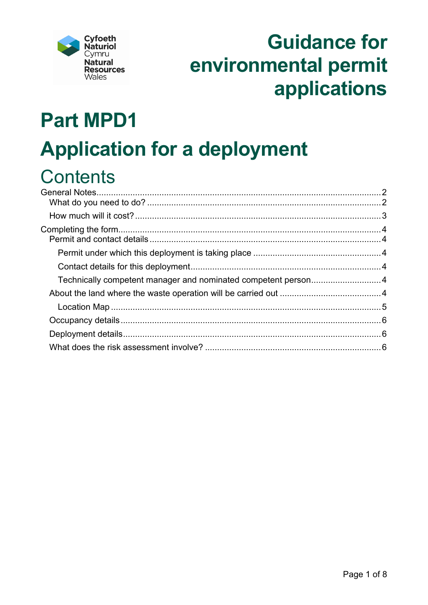

# **Guidance for** environmental permit applications

# **Part MPD1 Application for a deployment**

# **Contents**

| Technically competent manager and nominated competent person4 |  |
|---------------------------------------------------------------|--|
|                                                               |  |
|                                                               |  |
|                                                               |  |
|                                                               |  |
|                                                               |  |
|                                                               |  |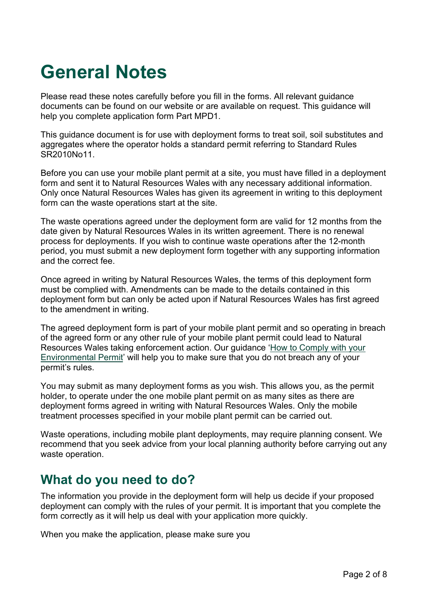# <span id="page-1-0"></span>**General Notes**

Please read these notes carefully before you fill in the forms. All relevant guidance documents can be found on our website or are available on request. This guidance will help you complete application form Part MPD1.

This guidance document is for use with deployment forms to treat soil, soil substitutes and aggregates where the operator holds a standard permit referring to Standard Rules SR2010No11.

Before you can use your mobile plant permit at a site, you must have filled in a deployment form and sent it to Natural Resources Wales with any necessary additional information. Only once Natural Resources Wales has given its agreement in writing to this deployment form can the waste operations start at the site.

The waste operations agreed under the deployment form are valid for 12 months from the date given by Natural Resources Wales in its written agreement. There is no renewal process for deployments. If you wish to continue waste operations after the 12-month period, you must submit a new deployment form together with any supporting information and the correct fee.

Once agreed in writing by Natural Resources Wales, the terms of this deployment form must be complied with. Amendments can be made to the details contained in this deployment form but can only be acted upon if Natural Resources Wales has first agreed to the amendment in writing.

The agreed deployment form is part of your mobile plant permit and so operating in breach of the agreed form or any other rule of your mobile plant permit could lead to Natural Resources Wales taking enforcement action. Our guidance ['How to Comply with your](https://naturalresources.wales/permits-and-permissions/environmental-permits/guidance-to-help-you-comply-with-your-environmental-permit/?lang=en)  [Environmental Permit'](https://naturalresources.wales/permits-and-permissions/environmental-permits/guidance-to-help-you-comply-with-your-environmental-permit/?lang=en) will help you to make sure that you do not breach any of your permit's rules.

You may submit as many deployment forms as you wish. This allows you, as the permit holder, to operate under the one mobile plant permit on as many sites as there are deployment forms agreed in writing with Natural Resources Wales. Only the mobile treatment processes specified in your mobile plant permit can be carried out.

Waste operations, including mobile plant deployments, may require planning consent. We recommend that you seek advice from your local planning authority before carrying out any waste operation.

# <span id="page-1-1"></span>**What do you need to do?**

The information you provide in the deployment form will help us decide if your proposed deployment can comply with the rules of your permit. It is important that you complete the form correctly as it will help us deal with your application more quickly.

When you make the application, please make sure you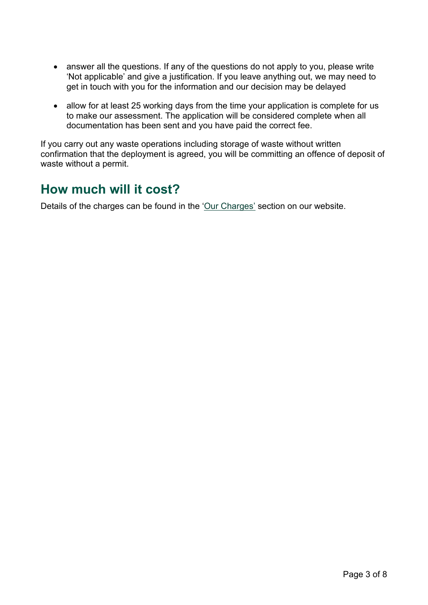- answer all the questions. If any of the questions do not apply to you, please write 'Not applicable' and give a justification. If you leave anything out, we may need to get in touch with you for the information and our decision may be delayed
- allow for at least 25 working days from the time your application is complete for us to make our assessment. The application will be considered complete when all documentation has been sent and you have paid the correct fee.

If you carry out any waste operations including storage of waste without written confirmation that the deployment is agreed, you will be committing an offence of deposit of waste without a permit.

## <span id="page-2-0"></span>**How much will it cost?**

Details of the charges can be found in the ['Our Charges'](https://naturalresources.wales/about-us/what-we-do/how-we-regulate-you/our-charges/?lang=en) section on our website.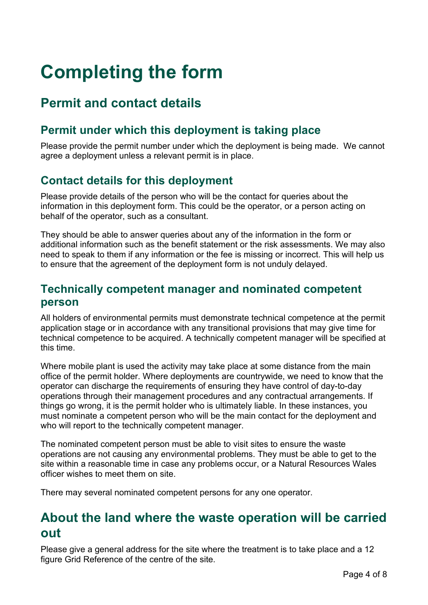# <span id="page-3-0"></span>**Completing the form**

# <span id="page-3-1"></span>**Permit and contact details**

### <span id="page-3-2"></span>**Permit under which this deployment is taking place**

Please provide the permit number under which the deployment is being made. We cannot agree a deployment unless a relevant permit is in place.

### <span id="page-3-3"></span>**Contact details for this deployment**

Please provide details of the person who will be the contact for queries about the information in this deployment form. This could be the operator, or a person acting on behalf of the operator, such as a consultant.

They should be able to answer queries about any of the information in the form or additional information such as the benefit statement or the risk assessments. We may also need to speak to them if any information or the fee is missing or incorrect. This will help us to ensure that the agreement of the deployment form is not unduly delayed.

#### <span id="page-3-4"></span>**Technically competent manager and nominated competent person**

All holders of environmental permits must demonstrate technical competence at the permit application stage or in accordance with any transitional provisions that may give time for technical competence to be acquired. A technically competent manager will be specified at this time.

Where mobile plant is used the activity may take place at some distance from the main office of the permit holder. Where deployments are countrywide, we need to know that the operator can discharge the requirements of ensuring they have control of day-to-day operations through their management procedures and any contractual arrangements. If things go wrong, it is the permit holder who is ultimately liable. In these instances, you must nominate a competent person who will be the main contact for the deployment and who will report to the technically competent manager.

The nominated competent person must be able to visit sites to ensure the waste operations are not causing any environmental problems. They must be able to get to the site within a reasonable time in case any problems occur, or a Natural Resources Wales officer wishes to meet them on site.

There may several nominated competent persons for any one operator.

### <span id="page-3-5"></span>**About the land where the waste operation will be carried out**

Please give a general address for the site where the treatment is to take place and a 12 figure Grid Reference of the centre of the site.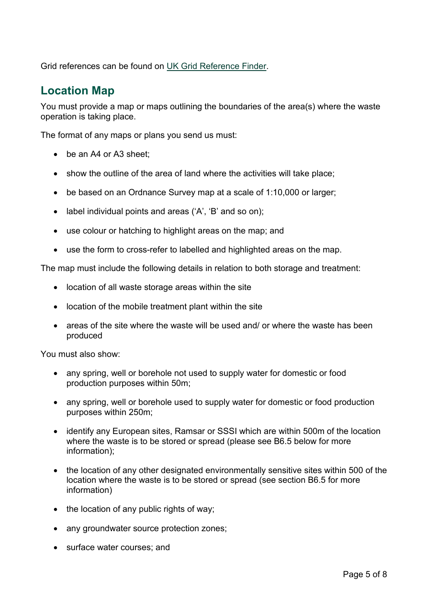Grid references can be found on [UK Grid Reference Finder.](http://www.gridreferencefinder.com/)

#### <span id="page-4-0"></span>**Location Map**

You must provide a map or maps outlining the boundaries of the area(s) where the waste operation is taking place.

The format of any maps or plans you send us must:

- be an A4 or A3 sheet:
- show the outline of the area of land where the activities will take place;
- be based on an Ordnance Survey map at a scale of 1:10,000 or larger;
- label individual points and areas ('A', 'B' and so on);
- use colour or hatching to highlight areas on the map; and
- use the form to cross-refer to labelled and highlighted areas on the map.

The map must include the following details in relation to both storage and treatment:

- location of all waste storage areas within the site
- location of the mobile treatment plant within the site
- areas of the site where the waste will be used and/ or where the waste has been produced

You must also show:

- any spring, well or borehole not used to supply water for domestic or food production purposes within 50m;
- any spring, well or borehole used to supply water for domestic or food production purposes within 250m;
- identify any European sites, Ramsar or SSSI which are within 500m of the location where the waste is to be stored or spread (please see B6.5 below for more information);
- the location of any other designated environmentally sensitive sites within 500 of the location where the waste is to be stored or spread (see section B6.5 for more information)
- the location of any public rights of way;
- any groundwater source protection zones;
- surface water courses; and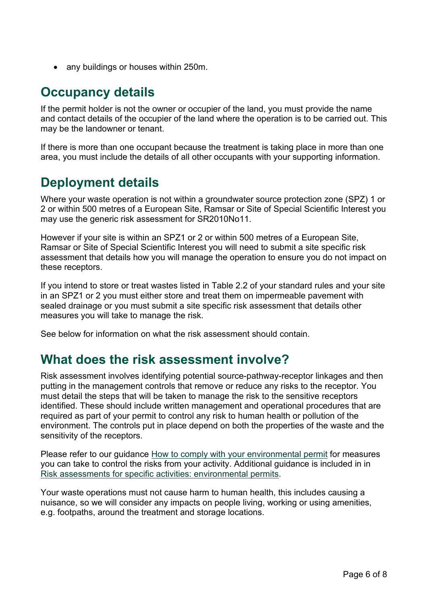• any buildings or houses within 250m.

# <span id="page-5-0"></span>**Occupancy details**

If the permit holder is not the owner or occupier of the land, you must provide the name and contact details of the occupier of the land where the operation is to be carried out. This may be the landowner or tenant.

If there is more than one occupant because the treatment is taking place in more than one area, you must include the details of all other occupants with your supporting information.

# <span id="page-5-1"></span>**Deployment details**

Where your waste operation is not within a groundwater source protection zone (SPZ) 1 or 2 or within 500 metres of a European Site, Ramsar or Site of Special Scientific Interest you may use the generic risk assessment for SR2010No11.

However if your site is within an SPZ1 or 2 or within 500 metres of a European Site, Ramsar or Site of Special Scientific Interest you will need to submit a site specific risk assessment that details how you will manage the operation to ensure you do not impact on these receptors.

If you intend to store or treat wastes listed in Table 2.2 of your standard rules and your site in an SPZ1 or 2 you must either store and treat them on impermeable pavement with sealed drainage or you must submit a site specific risk assessment that details other measures you will take to manage the risk.

See below for information on what the risk assessment should contain.

### <span id="page-5-2"></span>**What does the risk assessment involve?**

Risk assessment involves identifying potential source-pathway-receptor linkages and then putting in the management controls that remove or reduce any risks to the receptor. You must detail the steps that will be taken to manage the risk to the sensitive receptors identified. These should include written management and operational procedures that are required as part of your permit to control any risk to human health or pollution of the environment. The controls put in place depend on both the properties of the waste and the sensitivity of the receptors.

Please refer to our guidance [How to comply with your environmental permit](https://cdn.cyfoethnaturiol.cymru/media/2110/how-to-comply-with-your-environmental-permit.pdf?mode=pad&rnd=131467604540000000) for measures you can take to control the risks from your activity. Additional guidance is included in in [Risk assessments for specific activities: environmental permits.](https://www.gov.uk/government/collections/risk-assessments-for-specific-activities-environmental-permits)

Your waste operations must not cause harm to human health, this includes causing a nuisance, so we will consider any impacts on people living, working or using amenities, e.g. footpaths, around the treatment and storage locations.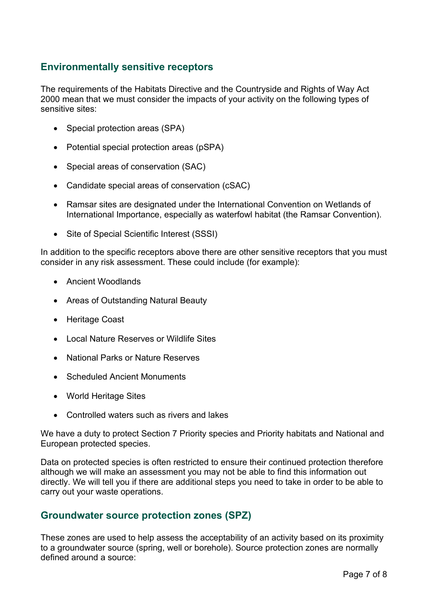#### **Environmentally sensitive receptors**

The requirements of the Habitats Directive and the Countryside and Rights of Way Act 2000 mean that we must consider the impacts of your activity on the following types of sensitive sites:

- Special protection areas (SPA)
- Potential special protection areas (pSPA)
- Special areas of conservation (SAC)
- Candidate special areas of conservation (cSAC)
- Ramsar sites are designated under the International Convention on Wetlands of International Importance, especially as waterfowl habitat (the Ramsar Convention).
- Site of Special Scientific Interest (SSSI)

In addition to the specific receptors above there are other sensitive receptors that you must consider in any risk assessment. These could include (for example):

- Ancient Woodlands
- Areas of Outstanding Natural Beauty
- Heritage Coast
- Local Nature Reserves or Wildlife Sites
- National Parks or Nature Reserves
- Scheduled Ancient Monuments
- World Heritage Sites
- Controlled waters such as rivers and lakes

We have a duty to protect Section 7 Priority species and Priority habitats and National and European protected species.

Data on protected species is often restricted to ensure their continued protection therefore although we will make an assessment you may not be able to find this information out directly. We will tell you if there are additional steps you need to take in order to be able to carry out your waste operations.

#### **Groundwater source protection zones (SPZ)**

These zones are used to help assess the acceptability of an activity based on its proximity to a groundwater source (spring, well or borehole). Source protection zones are normally defined around a source: